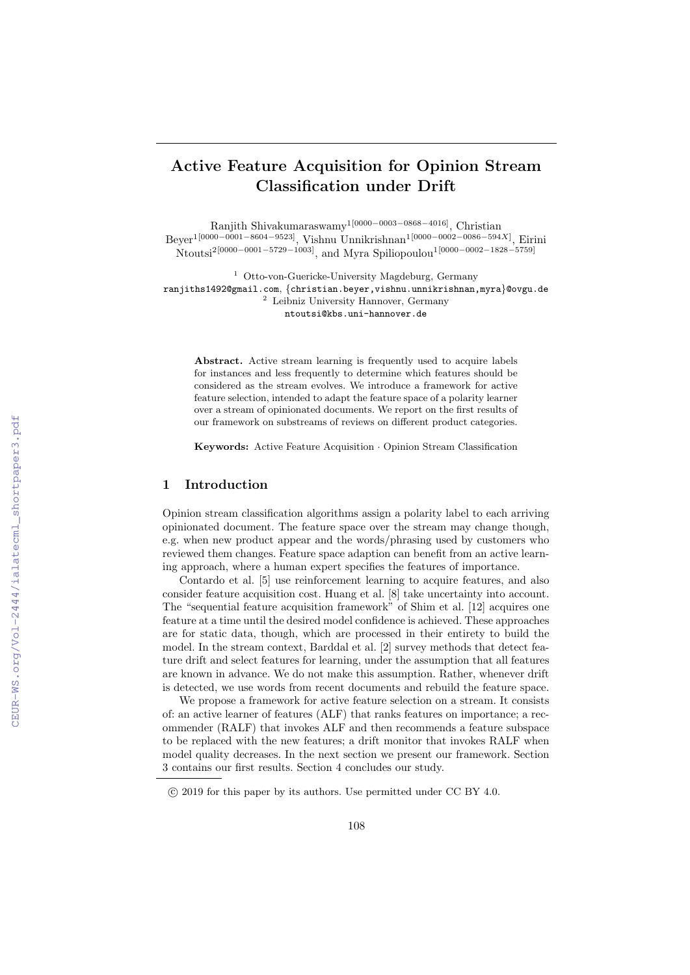# Active Feature Acquisition for Opinion Stream Classification under Drift

Ranjith Shivakumaraswamy1[0000−0003−0868−4016], Christian Beyer<sup>1[0000–0001–8604–9523]</sup>, Vishnu Unnikrishnan<sup>1[0000–0002–0086–594X]</sup>, Eirini Ntoutsi2[0000−0001−5729−1003], and Myra Spiliopoulou1[0000−0002−1828−5759]

<sup>1</sup> Otto-von-Guericke-University Magdeburg, Germany ranjiths1492@gmail.com, {christian.beyer,vishnu.unnikrishnan,myra}@ovgu.de <sup>2</sup> Leibniz University Hannover, Germany ntoutsi@kbs.uni-hannover.de

Abstract. Active stream learning is frequently used to acquire labels for instances and less frequently to determine which features should be considered as the stream evolves. We introduce a framework for active feature selection, intended to adapt the feature space of a polarity learner over a stream of opinionated documents. We report on the first results of our framework on substreams of reviews on different product categories.

Keywords: Active Feature Acquisition · Opinion Stream Classification

# 1 Introduction

Opinion stream classification algorithms assign a polarity label to each arriving opinionated document. The feature space over the stream may change though, e.g. when new product appear and the words/phrasing used by customers who reviewed them changes. Feature space adaption can benefit from an active learning approach, where a human expert specifies the features of importance.

Contardo et al. [5] use reinforcement learning to acquire features, and also consider feature acquisition cost. Huang et al. [8] take uncertainty into account. The "sequential feature acquisition framework" of Shim et al. [12] acquires one feature at a time until the desired model confidence is achieved. These approaches are for static data, though, which are processed in their entirety to build the model. In the stream context, Barddal et al. [2] survey methods that detect feature drift and select features for learning, under the assumption that all features are known in advance. We do not make this assumption. Rather, whenever drift is detected, we use words from recent documents and rebuild the feature space.

We propose a framework for active feature selection on a stream. It consists of: an active learner of features (ALF) that ranks features on importance; a recommender (RALF) that invokes ALF and then recommends a feature subspace to be replaced with the new features; a drift monitor that invokes RALF when model quality decreases. In the next section we present our framework. Section 3 contains our first results. Section 4 concludes our study.

c 2019 for this paper by its authors. Use permitted under CC BY 4.0.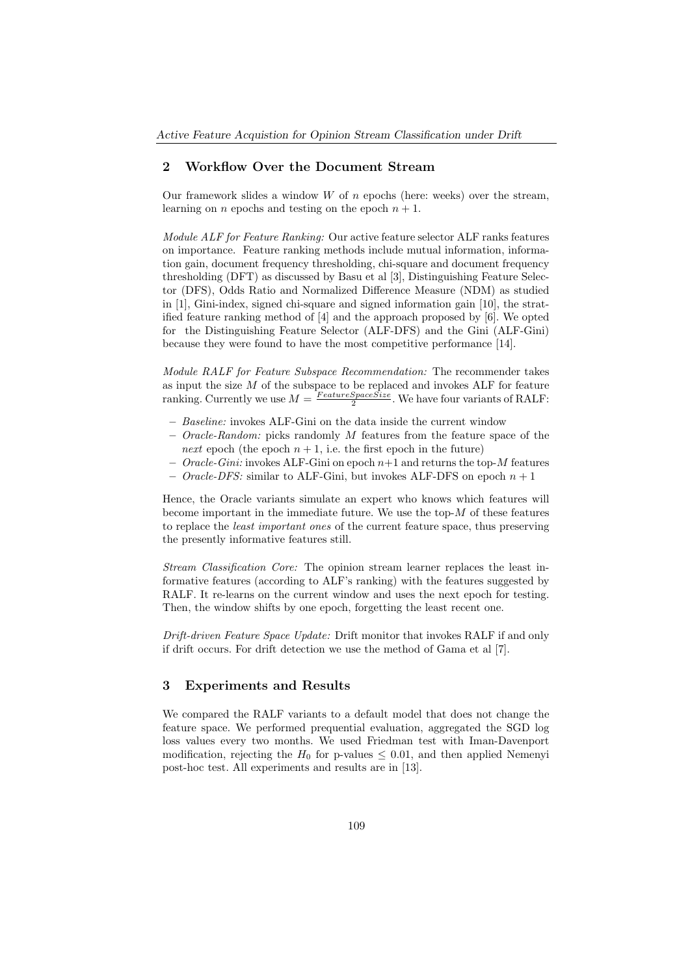# 2 Workflow Over the Document Stream

Our framework slides a window  $W$  of  $n$  epochs (here: weeks) over the stream, learning on *n* epochs and testing on the epoch  $n + 1$ .

Module ALF for Feature Ranking: Our active feature selector ALF ranks features on importance. Feature ranking methods include mutual information, information gain, document frequency thresholding, chi-square and document frequency thresholding (DFT) as discussed by Basu et al [3], Distinguishing Feature Selector (DFS), Odds Ratio and Normalized Difference Measure (NDM) as studied in [1], Gini-index, signed chi-square and signed information gain [10], the stratified feature ranking method of [4] and the approach proposed by [6]. We opted for the Distinguishing Feature Selector (ALF-DFS) and the Gini (ALF-Gini) because they were found to have the most competitive performance [14].

Module RALF for Feature Subspace Recommendation: The recommender takes as input the size  $M$  of the subspace to be replaced and invokes  $ALF$  for feature ranking. Currently we use  $M = \frac{FeatureSpaceSize}{2}$ . We have four variants of RALF:

- Baseline: invokes ALF-Gini on the data inside the current window
- $-$  *Oracle-Random:* picks randomly M features from the feature space of the next epoch (the epoch  $n + 1$ , i.e. the first epoch in the future)
- Oracle-Gini: invokes ALF-Gini on epoch  $n+1$  and returns the top-M features
- *Oracle-DFS:* similar to ALF-Gini, but invokes ALF-DFS on epoch  $n + 1$

Hence, the Oracle variants simulate an expert who knows which features will become important in the immediate future. We use the top- $M$  of these features to replace the least important ones of the current feature space, thus preserving the presently informative features still.

Stream Classification Core: The opinion stream learner replaces the least informative features (according to ALF's ranking) with the features suggested by RALF. It re-learns on the current window and uses the next epoch for testing. Then, the window shifts by one epoch, forgetting the least recent one.

Drift-driven Feature Space Update: Drift monitor that invokes RALF if and only if drift occurs. For drift detection we use the method of Gama et al [7].

### 3 Experiments and Results

We compared the RALF variants to a default model that does not change the feature space. We performed prequential evaluation, aggregated the SGD log loss values every two months. We used Friedman test with Iman-Davenport modification, rejecting the  $H_0$  for p-values  $\leq$  0.01, and then applied Nemenyi post-hoc test. All experiments and results are in [13].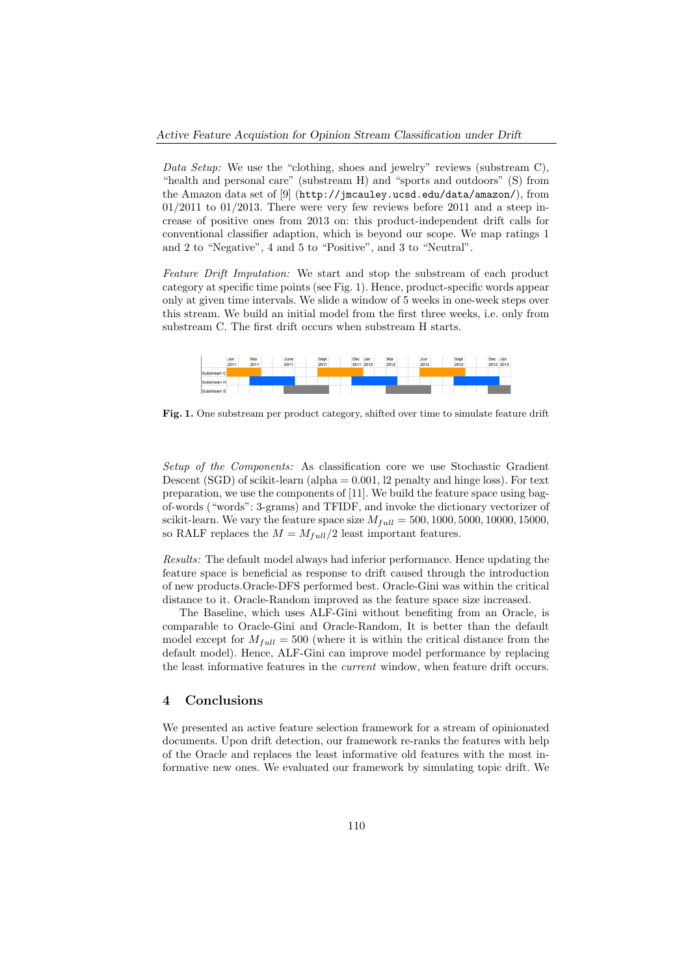Data Setup: We use the "clothing, shoes and jewelry" reviews (substream C), "health and personal care" (substream H) and "sports and outdoors" (S) from the Amazon data set of [9] (http://jmcauley.ucsd.edu/data/amazon/), from  $01/2011$  to  $01/2013$ . There were very few reviews before 2011 and a steep increase of positive ones from 2013 on: this product-independent drift calls for conventional classifier adaption, which is beyond our scope. We map ratings 1 and 2 to "Negative", 4 and 5 to "Positive", and 3 to "Neutral".

Feature Drift Imputation: We start and stop the substream of each product category at specific time points (see Fig. 1). Hence, product-specific words appear only at given time intervals. We slide a window of 5 weeks in one-week steps over this stream. We build an initial model from the first three weeks, i.e. only from substream C. The first drift occurs when substream H starts.



Fig. 1. One substream per product category, shifted over time to simulate feature drift

Setup of the Components: As classification core we use Stochastic Gradient Descent (SGD) of scikit-learn (alpha  $= 0.001$ , 12 penalty and hinge loss). For text preparation, we use the components of [11]. We build the feature space using bagof-words ("words": 3-grams) and TFIDF, and invoke the dictionary vectorizer of scikit-learn. We vary the feature space size  $M_{full} = 500, 1000, 5000, 10000, 15000,$ so RALF replaces the  $M = M_{full}/2$  least important features.

Results: The default model always had inferior performance. Hence updating the feature space is beneficial as response to drift caused through the introduction of new products.Oracle-DFS performed best. Oracle-Gini was within the critical distance to it. Oracle-Random improved as the feature space size increased.

The Baseline, which uses ALF-Gini without benefiting from an Oracle, is comparable to Oracle-Gini and Oracle-Random, It is better than the default model except for  $M_{full} = 500$  (where it is within the critical distance from the default model). Hence, ALF-Gini can improve model performance by replacing the least informative features in the current window, when feature drift occurs.

#### 4 Conclusions

We presented an active feature selection framework for a stream of opinionated documents. Upon drift detection, our framework re-ranks the features with help of the Oracle and replaces the least informative old features with the most informative new ones. We evaluated our framework by simulating topic drift. We